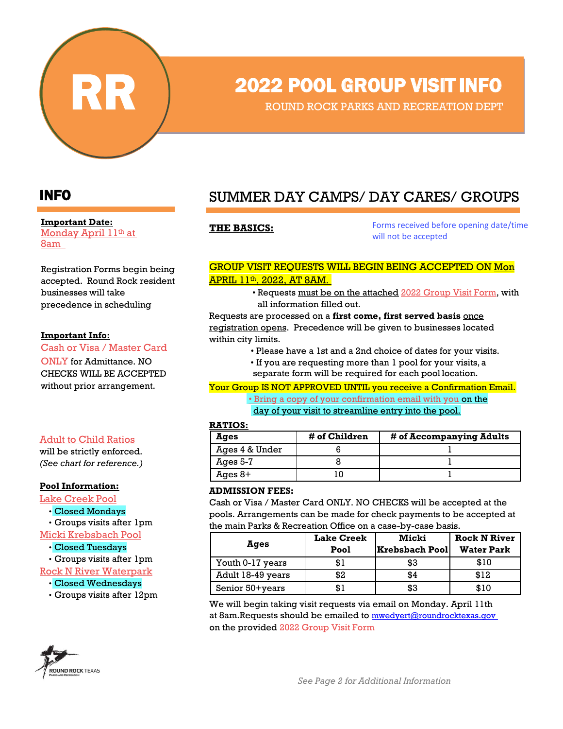

# RR 2022 POOL GROUP VISIT INFO

ROUND ROCK PARKS AND RECREATION DEPT

#### **Important Date:**

Monday April 11th at 8am

Registration Forms begin being accepted. Round Rock resident businesses will take precedence in scheduling

#### **Important Info:**

Cash or Visa / Master Card ONLY for Admittance. NO CHECKS WILL BE ACCEPTED without prior arrangement.

#### Adult to Child Ratios

will be strictly enforced. *(See chart for reference.)*

#### **Pool Information:**

Lake Creek Pool • Closed Mondays • Groups visits after 1pm Micki Krebsbach Pool

• Closed Tuesdays

• Groups visits after 1pm

Rock N River Waterpark

- Closed Wednesdays
- Groups visits after 12pm



## INFO SUMMER DAY CAMPS/ DAY CARES/ GROUPS

THE BASICS: Forms received before opening date/time will not be accepted

#### GROUP VISIT REQUESTS WILL BEGIN BEING ACCEPTED ON Mon APRIL 11th, 2022, AT 8AM.

• Requests must be on the attached 2022 Group Visit Form, with all information filled out.

Requests are processed on a **first come, first served basis** once registration opens. Precedence will be given to businesses located within city limits.

- Please have a 1st and a 2nd choice of dates for your visits.
- If you are requesting more than 1 pool for your visits, a
- separate form will be required for each pool location.

Your Group IS NOT APPROVED UNTIL you receive a Confirmation Email.

• Bring a copy of your confirmation email with you on the

day of your visit to streamline entry into the pool.

#### **RATIOS:**

| Ages           | # of Children | # of Accompanying Adults |
|----------------|---------------|--------------------------|
| Ages 4 & Under |               |                          |
| Ages 5-7       |               |                          |
| Ages $8+$      |               |                          |

#### **ADMISSION FEES:**

Cash or Visa / Master Card ONLY. NO CHECKS will be accepted at the pools. Arrangements can be made for check payments to be accepted at the main Parks & Recreation Office on a case-by-case basis.

| Ages              | <b>Lake Creek</b><br>Pool | Micki<br> Krebsbach Pool | <b>Rock N River</b><br><b>Water Park</b> |
|-------------------|---------------------------|--------------------------|------------------------------------------|
| Youth 0-17 years  | \$1                       | \$3                      | \$10                                     |
| Adult 18-49 years | \$2                       | \$4                      | \$12                                     |
| Senior 50+years   | \$1                       | \$3                      | \$10                                     |

We will begin taking visit requests via email on Monday. April 11th at 8am.Requests should be emailed to [mwedyert@roundrocktexas.gov](mailto:mwedyert@roundrocktexas.gov) on the provided 2022 Group Visit Form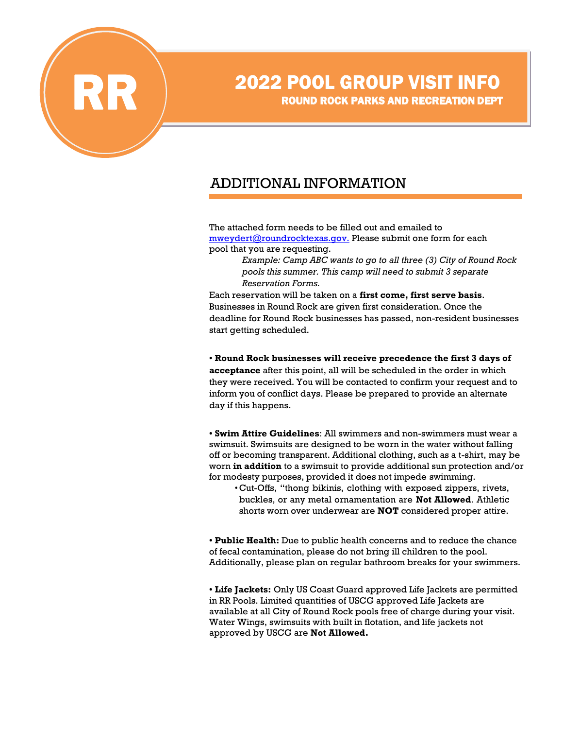

# **2022 POOL GROUP VISIT INFO**<br>ROUND ROCK PARKS AND RECREATION DEPT

## ADDITIONAL INFORMATION

The attached form needs to be filled out and emailed to [mweydert@roundrocktexas.gov.](mailto:mweydert@roundrocktexas.gov.) Please submit one form for each pool that you are requesting.

> *Example: Camp ABC wants to go to all three (3) City of Round Rock pools this summer. This camp will need to submit 3 separate Reservation Forms.*

Each reservation will be taken on a **first come, first serve basis**. Businesses in Round Rock are given first consideration. Once the deadline for Round Rock businesses has passed, non-resident businesses start getting scheduled.

**• Round Rock businesses will receive precedence the first 3 days of acceptance** after this point, all will be scheduled in the order in which they were received. You will be contacted to confirm your request and to inform you of conflict days. Please be prepared to provide an alternate day if this happens.

**• Swim Attire Guidelines**: All swimmers and non-swimmers must wear a swimsuit. Swimsuits are designed to be worn in the water without falling off or becoming transparent. Additional clothing, such as a t-shirt, may be worn **in addition** to a swimsuit to provide additional sun protection and/or for modesty purposes, provided it does not impede swimming.

•Cut-Offs, "thong bikinis, clothing with exposed zippers, rivets, buckles, or any metal ornamentation are **Not Allowed**. Athletic shorts worn over underwear are **NOT** considered proper attire.

**• Public Health:** Due to public health concerns and to reduce the chance of fecal contamination, please do not bring ill children to the pool. Additionally, please plan on regular bathroom breaks for your swimmers.

**• Life Jackets:** Only US Coast Guard approved Life Jackets are permitted in RR Pools. Limited quantities of USCG approved Life Jackets are available at all City of Round Rock pools free of charge during your visit. Water Wings, swimsuits with built in flotation, and life jackets not approved by USCG are **Not Allowed.**